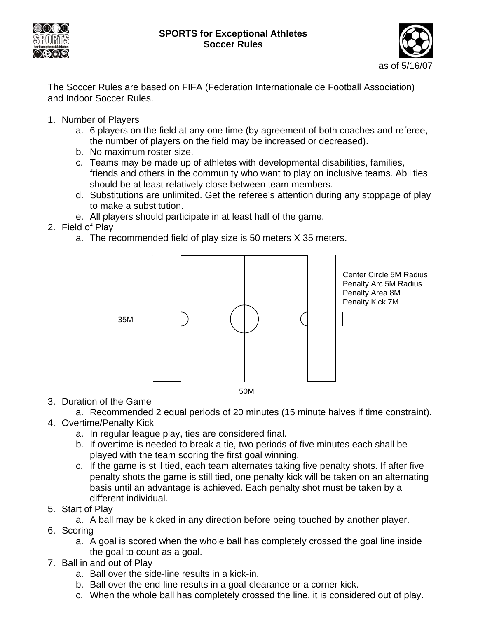



The Soccer Rules are based on FIFA (Federation Internationale de Football Association) and Indoor Soccer Rules.

- 1. Number of Players
	- a. 6 players on the field at any one time (by agreement of both coaches and referee, the number of players on the field may be increased or decreased).
	- b. No maximum roster size.
	- c. Teams may be made up of athletes with developmental disabilities, families, friends and others in the community who want to play on inclusive teams. Abilities should be at least relatively close between team members.
	- d. Substitutions are unlimited. Get the referee's attention during any stoppage of play to make a substitution.
	- e. All players should participate in at least half of the game.
- 2. Field of Play
	- a. The recommended field of play size is 50 meters X 35 meters.



3. Duration of the Game

a. Recommended 2 equal periods of 20 minutes (15 minute halves if time constraint). 4. Overtime/Penalty Kick

- a. In regular league play, ties are considered final.
	- b. If overtime is needed to break a tie, two periods of five minutes each shall be played with the team scoring the first goal winning.
	- c. If the game is still tied, each team alternates taking five penalty shots. If after five penalty shots the game is still tied, one penalty kick will be taken on an alternating basis until an advantage is achieved. Each penalty shot must be taken by a different individual.
- 5. Start of Play
	- a. A ball may be kicked in any direction before being touched by another player.
- 6. Scoring
	- a. A goal is scored when the whole ball has completely crossed the goal line inside the goal to count as a goal.
- 7. Ball in and out of Play
	- a. Ball over the side-line results in a kick-in.
	- b. Ball over the end-line results in a goal-clearance or a corner kick.
	- c. When the whole ball has completely crossed the line, it is considered out of play.